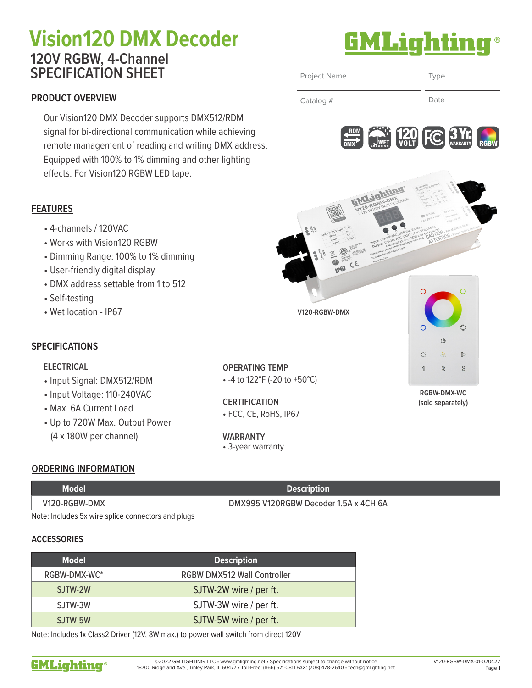# Vision120 DMX Decoder **BMLighting 120V RGBW, 4-Channel SPECIFICATION SHEET**

### **PRODUCT OVERVIEW**

Our Vision120 DMX Decoder supports DMX512/RDM signal for bi-directional communication while achieving remote management of reading and writing DMX address. Equipped with 100% to 1% dimming and other lighting effects. For Vision120 RGBW LED tape.





### **FEATURES**

- 4-channels / 120VAC
- Works with Vision120 RGBW
- Dimming Range: 100% to 1% dimming
- User-friendly digital display
- DMX address settable from 1 to 512
- Self-testing
- Wet location IP67

### **SPECIFICATIONS**

#### **ELECTRICAL**

- Input Signal: DMX512/RDM
- Input Voltage: 110-240VAC
- Max. 6A Current Load
- Up to 720W Max. Output Power (4 x 180W per channel) **WARRANTY**

**OPERATING TEMP** • -4 to 122°F (-20 to +50°C)

**V120-RGBW-DMX**

**CERTIFICATION** • FCC, CE, RoHS, IP67

• 3-year warranty

**RGBW-DMX-WC (sold separately)**

 $\mathbb{C}^{\mathbb{D}}$ 

 $\overline{Q}$ 

 $\overline{2}$ 

 $\mathbb{D}$ 

 $\mathcal{D}$ 

 $\Gamma$ 

#### **ORDERING INFORMATION**

| Model         | <b>Description</b>                    |
|---------------|---------------------------------------|
| V120-RGBW-DMX | DMX995 V120RGBW Decoder 1.5A x 4CH 6A |

Note: Includes 5x wire splice connectors and plugs

#### **ACCESSORIES**

| <b>Model</b> | <b>Description</b>                 |
|--------------|------------------------------------|
| RGBW-DMX-WC* | <b>RGBW DMX512 Wall Controller</b> |
| SJTW-2W      | SJTW-2W wire / per ft.             |
| SJTW-3W      | SJTW-3W wire / per ft.             |
| SJTW-5W      | SJTW-5W wire / per ft.             |

Note: Includes 1x Class2 Driver (12V, 8W max.) to power wall switch from direct 120V

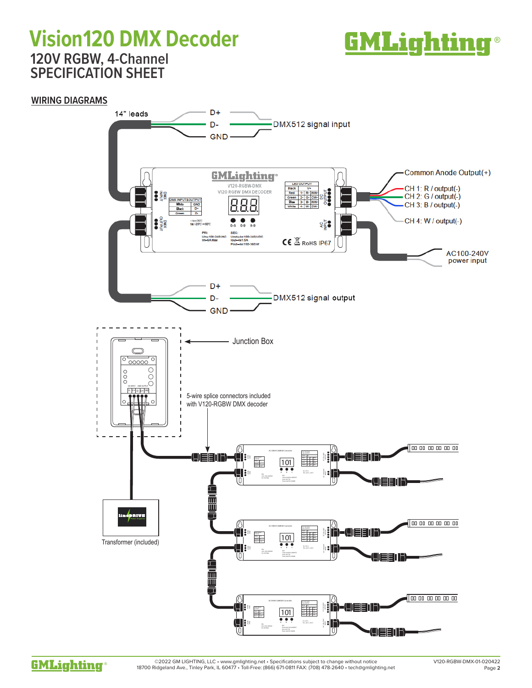## Vision120 DMX Decoder **BMLighting**® **120V RGBW, 4-Channel SPECIFICATION SHEET**